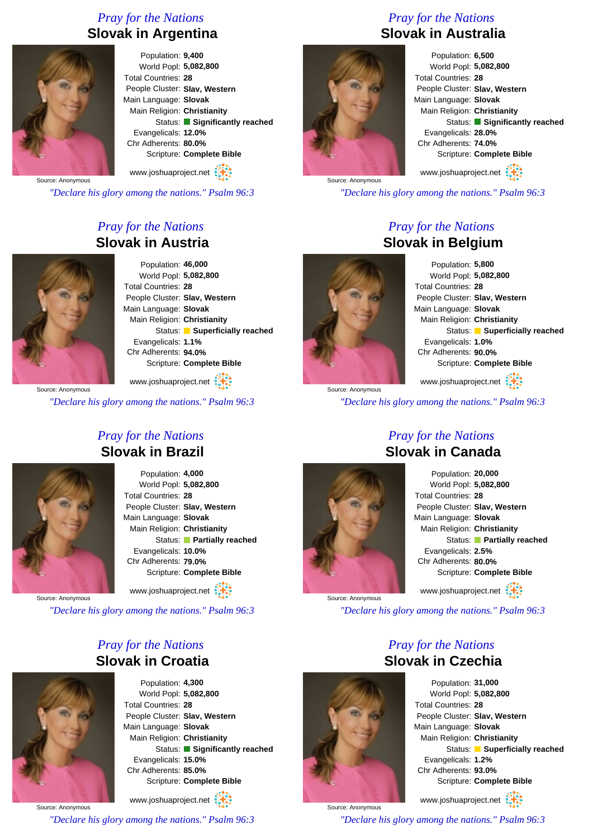# *Pray for the Nations* **Slovak in Argentina**



Population: **9,400** World Popl: **5,082,800** Total Countries: **28** People Cluster: **Slav, Western** Main Language: **Slovak** Main Religion: **Christianity** Status: **Significantly reached** Evangelicals: **12.0%** Chr Adherents: **80.0%** Scripture: **Complete Bible**

www.joshuaproject.net

Source: Anonymous

*"Declare his glory among the nations." Psalm 96:3*

# *Pray for the Nations* **Slovak in Austria**



Source: Anonymous

Population: **46,000** World Popl: **5,082,800** Total Countries: **28** People Cluster: **Slav, Western** Main Language: **Slovak** Main Religion: **Christianity** Status: **Superficially reached** Evangelicals: **1.1%** Chr Adherents: **94.0%** Scripture: **Complete Bible**

www.joshuaproject.net

*"Declare his glory among the nations." Psalm 96:3*

# *Pray for the Nations* **Slovak in Brazil**



Population: **4,000** World Popl: **5,082,800** Total Countries: **28** People Cluster: **Slav, Western** Main Language: **Slovak** Main Religion: **Christianity** Status: **Partially reached** Evangelicals: **10.0%** Chr Adherents: **79.0%** Scripture: **Complete Bible**

www.joshuaproject.net

Source: Anonymous

*"Declare his glory among the nations." Psalm 96:3*

#### *Pray for the Nations* **Slovak in Croatia**



Population: **4,300** World Popl: **5,082,800** Total Countries: **28** People Cluster: **Slav, Western** Main Language: **Slovak** Main Religion: **Christianity** Status: **Significantly reached** Evangelicals: **15.0%** Chr Adherents: **85.0%** Scripture: **Complete Bible**

Source: Anonymous www.joshuaproject.net *"Declare his glory among the nations." Psalm 96:3*

# *Pray for the Nations* **Slovak in Australia**



Population: **6,500** World Popl: **5,082,800** Total Countries: **28** People Cluster: **Slav, Western** Main Language: **Slovak** Main Religion: **Christianity** Status: **Significantly reached** Evangelicals: **28.0%** Chr Adherents: **74.0%** Scripture: **Complete Bible**

www.joshuaproject.net

*"Declare his glory among the nations." Psalm 96:3*

#### *Pray for the Nations* **Slovak in Belgium**

Population: **5,800** World Popl: **5,082,800** Total Countries: **28** People Cluster: **Slav, Western** Main Language: **Slovak** Main Religion: **Christianity** Status: **Superficially reached** Evangelicals: **1.0%** Chr Adherents: **90.0%** Scripture: **Complete Bible**

www.joshuaproject.net

*"Declare his glory among the nations." Psalm 96:3*



Source: Anonymous

#### *Pray for the Nations* **Slovak in Canada**

Population: **20,000** World Popl: **5,082,800** Total Countries: **28** People Cluster: **Slav, Western** Main Language: **Slovak** Main Religion: **Christianity** Status: **Partially reached** Evangelicals: **2.5%** Chr Adherents: **80.0%** Scripture: **Complete Bible** www.joshuaproject.net

*"Declare his glory among the nations." Psalm 96:3*

# *Pray for the Nations* **Slovak in Czechia**



Source: Anonymous

Population: **31,000** World Popl: **5,082,800** Total Countries: **28** People Cluster: **Slav, Western** Main Language: **Slovak** Main Religion: **Christianity** Status: **Superficially reached** Evangelicals: **1.2%** Chr Adherents: **93.0%** Scripture: **Complete Bible**

www.joshuaproject.net

*"Declare his glory among the nations." Psalm 96:3*

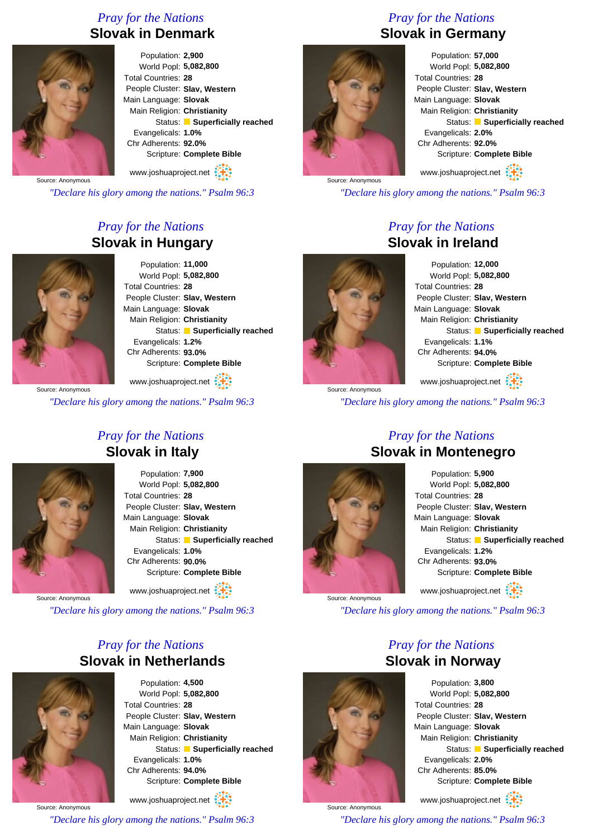# *Pray for the Nations* **Slovak in Denmark**



Population: **2,900** World Popl: **5,082,800** Total Countries: **28** People Cluster: **Slav, Western** Main Language: **Slovak** Main Religion: **Christianity** Status: **Superficially reached** Evangelicals: **1.0%** Chr Adherents: **92.0%** Scripture: **Complete Bible** www.joshuaproject.net

Source: Anonymous

*"Declare his glory among the nations." Psalm 96:3*

# *Pray for the Nations* **Slovak in Hungary**



Population: **11,000** World Popl: **5,082,800** Total Countries: **28** People Cluster: **Slav, Western** Main Language: **Slovak** Main Religion: **Christianity** Status: **Superficially reached** Evangelicals: **1.2%** Chr Adherents: **93.0%** Scripture: **Complete Bible**

Source: Anonymous www.joshuaproject.net

*"Declare his glory among the nations." Psalm 96:3*

# *Pray for the Nations* **Slovak in Italy**



Population: **7,900** World Popl: **5,082,800** Total Countries: **28** People Cluster: **Slav, Western** Main Language: **Slovak** Main Religion: **Christianity** Status: **Superficially reached** Evangelicals: **1.0%** Chr Adherents: **90.0%** Scripture: **Complete Bible** www.joshuaproject.net :

Source: Anonymous

*"Declare his glory among the nations." Psalm 96:3*

## *Pray for the Nations* **Slovak in Netherlands**



Population: **4,500** World Popl: **5,082,800** Total Countries: **28** People Cluster: **Slav, Western** Main Language: **Slovak** Main Religion: **Christianity** Status: **Superficially reached** Evangelicals: **1.0%** Chr Adherents: **94.0%** Scripture: **Complete Bible**

Source: Anonymous www.joshuaproject.net *"Declare his glory among the nations." Psalm 96:3*

# *Pray for the Nations* **Slovak in Germany**



Population: **57,000** World Popl: **5,082,800** Total Countries: **28** People Cluster: **Slav, Western** Main Language: **Slovak** Main Religion: **Christianity** Status: **Superficially reached** Evangelicals: **2.0%** Chr Adherents: **92.0%** Scripture: **Complete Bible**

www.joshuaproject.net

*"Declare his glory among the nations." Psalm 96:3*

#### *Pray for the Nations* **Slovak in Ireland**

Population: **12,000** World Popl: **5,082,800** Total Countries: **28** People Cluster: **Slav, Western** Main Language: **Slovak** Main Religion: **Christianity** Status: **Superficially reached** Evangelicals: **1.1%** Chr Adherents: **94.0%** Scripture: **Complete Bible**

www.joshuaproject.net

*"Declare his glory among the nations." Psalm 96:3*



Source: Anonymous

#### *Pray for the Nations* **Slovak in Montenegro**

Population: **5,900** World Popl: **5,082,800** Total Countries: **28** People Cluster: **Slav, Western** Main Language: **Slovak** Main Religion: **Christianity** Status: **Superficially reached** Evangelicals: **1.2%** Chr Adherents: **93.0%** Scripture: **Complete Bible** www.joshuaproject.net

*"Declare his glory among the nations." Psalm 96:3*

#### *Pray for the Nations* **Slovak in Norway**



Source: Anonymous *"Declare his glory among the nations." Psalm 96:3*

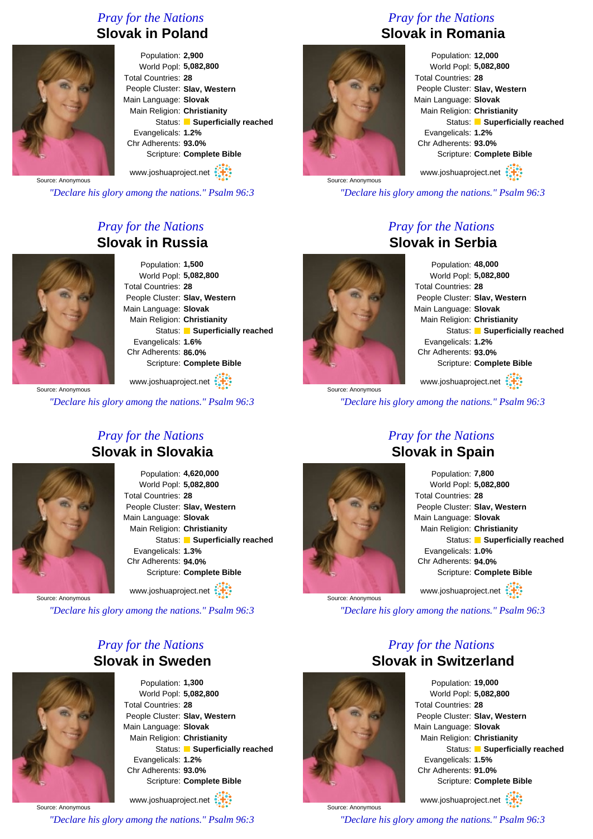## *Pray for the Nations* **Slovak in Poland**



Population: **2,900** World Popl: **5,082,800** Total Countries: **28** People Cluster: **Slav, Western** Main Language: **Slovak** Main Religion: **Christianity** Status: **Superficially reached** Evangelicals: **1.2%** Chr Adherents: **93.0%** Scripture: **Complete Bible** www.joshuaproject.net

Source: Anonymous

*"Declare his glory among the nations." Psalm 96:3*

# *Pray for the Nations* **Slovak in Russia**



Source: Anonymous

Population: **1,500** World Popl: **5,082,800** Total Countries: **28** People Cluster: **Slav, Western** Main Language: **Slovak** Main Religion: **Christianity** Status: **Superficially reached** Evangelicals: **1.6%** Chr Adherents: **86.0%** Scripture: **Complete Bible**

www.joshuaproject.net

*"Declare his glory among the nations." Psalm 96:3*

#### *Pray for the Nations* **Slovak in Slovakia**



Population: **4,620,000** World Popl: **5,082,800** Total Countries: **28** People Cluster: **Slav, Western** Main Language: **Slovak** Main Religion: **Christianity** Status: **Superficially reached** Evangelicals: **1.3%** Chr Adherents: **94.0%** Scripture: **Complete Bible** www.joshuaproject.net

Source: Anonymous

*"Declare his glory among the nations." Psalm 96:3*

#### *Pray for the Nations* **Slovak in Sweden**



Population: **1,300** World Popl: **5,082,800** Total Countries: **28** People Cluster: **Slav, Western** Main Language: **Slovak** Main Religion: **Christianity** Status: **Superficially reached** Evangelicals: **1.2%** Chr Adherents: **93.0%** Scripture: **Complete Bible**

Source: Anonymous www.joshuaproject.net *"Declare his glory among the nations." Psalm 96:3*

# *Pray for the Nations* **Slovak in Romania**



Population: **12,000** World Popl: **5,082,800** Total Countries: **28** People Cluster: **Slav, Western** Main Language: **Slovak** Main Religion: **Christianity** Status: **Superficially reached** Evangelicals: **1.2%** Chr Adherents: **93.0%** Scripture: **Complete Bible**

www.joshuaproject.net

*"Declare his glory among the nations." Psalm 96:3*

#### *Pray for the Nations* **Slovak in Serbia**



Population: **48,000** World Popl: **5,082,800** Total Countries: **28** People Cluster: **Slav, Western** Main Language: **Slovak** Main Religion: **Christianity** Status: **Superficially reached** Evangelicals: **1.2%** Chr Adherents: **93.0%** Scripture: **Complete Bible**

www.joshuaproject.net

*"Declare his glory among the nations." Psalm 96:3*



Source: Anonymous

Source: Anonymous

Source: Anonymous

#### *Pray for the Nations* **Slovak in Spain**

Population: **7,800** World Popl: **5,082,800** Total Countries: **28** People Cluster: **Slav, Western** Main Language: **Slovak** Main Religion: **Christianity** Status: **Superficially reached** Evangelicals: **1.0%** Chr Adherents: **94.0%** Scripture: **Complete Bible** www.joshuaproject.net

*"Declare his glory among the nations." Psalm 96:3*

#### *Pray for the Nations* **Slovak in Switzerland**



www.joshuaproject.net

*"Declare his glory among the nations." Psalm 96:3*